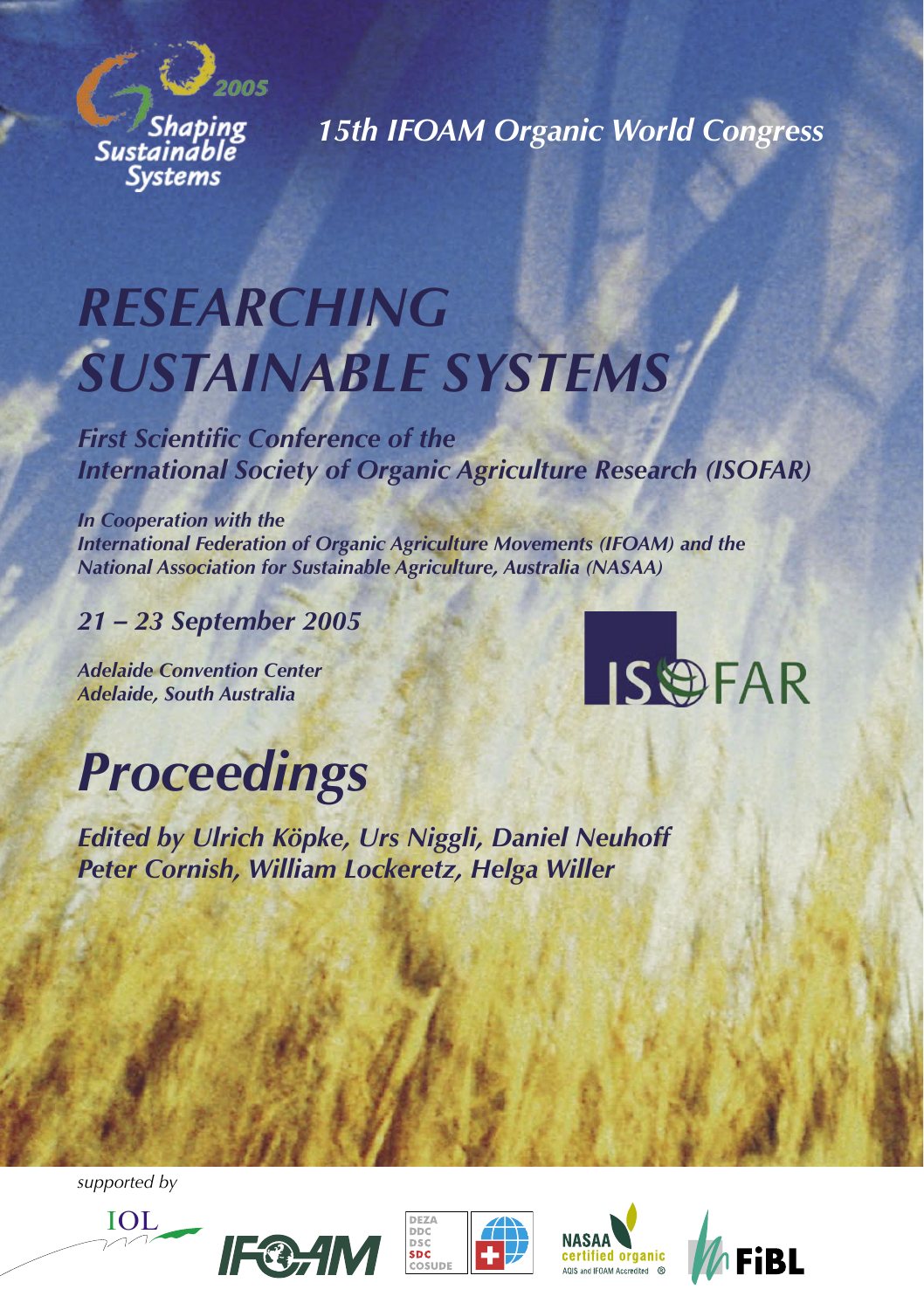

*15th IFOAM Organic World Congress*

# *RESEARCHING SUSTAINABLE SYSTEMS*

*First Scientific Conference of the International Society of Organic Agriculture Research (ISOFAR)*

*In Cooperation with the International Federation of Organic Agriculture Movements (IFOAM) and the National Association for Sustainable Agriculture, Australia (NASAA)*

## *21 – 23 September 2005*

*Adelaide Convention Center Adelaide, South Australia*



# *Proceedings*

*Edited by Ulrich Köpke, Urs Niggli, Daniel Neuhoff Peter Cornish, William Lockeretz, Helga Willer*

*supported by*







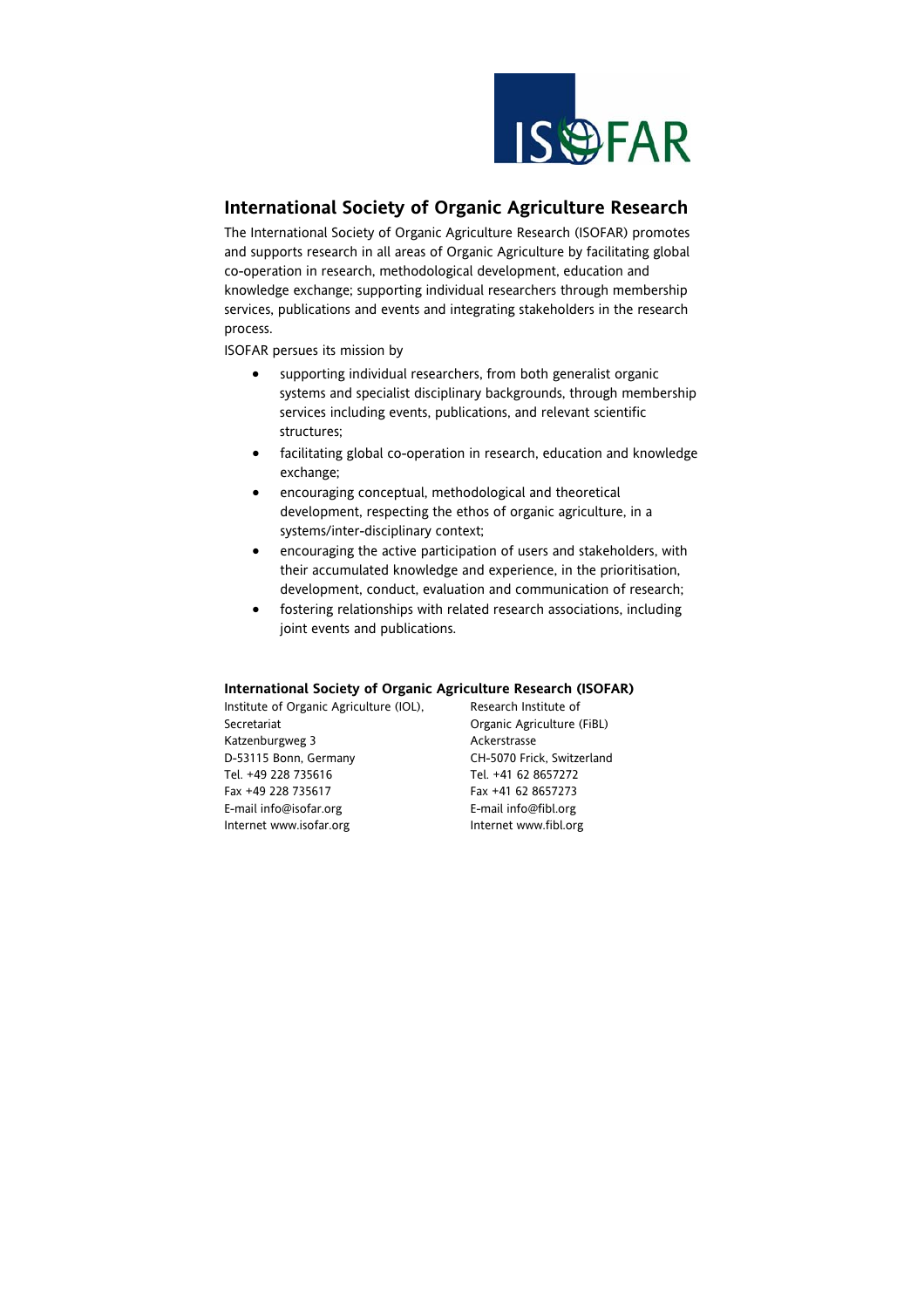

# **International Society of Organic Agriculture Research**

The International Society of Organic Agriculture Research (ISOFAR) promotes and supports research in all areas of Organic Agriculture by facilitating global co-operation in research, methodological development, education and knowledge exchange; supporting individual researchers through membership services, publications and events and integrating stakeholders in the research process.

ISOFAR persues its mission by

- supporting individual researchers, from both generalist organic systems and specialist disciplinary backgrounds, through membership services including events, publications, and relevant scientific structures;
- facilitating global co-operation in research, education and knowledge exchange;
- encouraging conceptual, methodological and theoretical development, respecting the ethos of organic agriculture, in a systems/inter-disciplinary context;
- encouraging the active participation of users and stakeholders, with their accumulated knowledge and experience, in the prioritisation, development, conduct, evaluation and communication of research;
- fostering relationships with related research associations, including joint events and publications.

#### **International Society of Organic Agriculture Research (ISOFAR)**

| Institute of Organic Agriculture (IOL), | Research Institute of      |
|-----------------------------------------|----------------------------|
| Secretariat                             | Organic Agriculture (FiBL) |
| Katzenburgweg 3                         | Ackerstrasse               |
| D-53115 Bonn, Germany                   | CH-5070 Frick, Switzerland |
| Tel. +49 228 735616                     | Tel. +41 62 8657272        |
| Fax +49 228 735617                      | Fax +41 62 8657273         |
| E-mail info@isofar.org                  | E-mail info@fibl.org       |
| Internet www.isofar.org                 | Internet www.fibl.org      |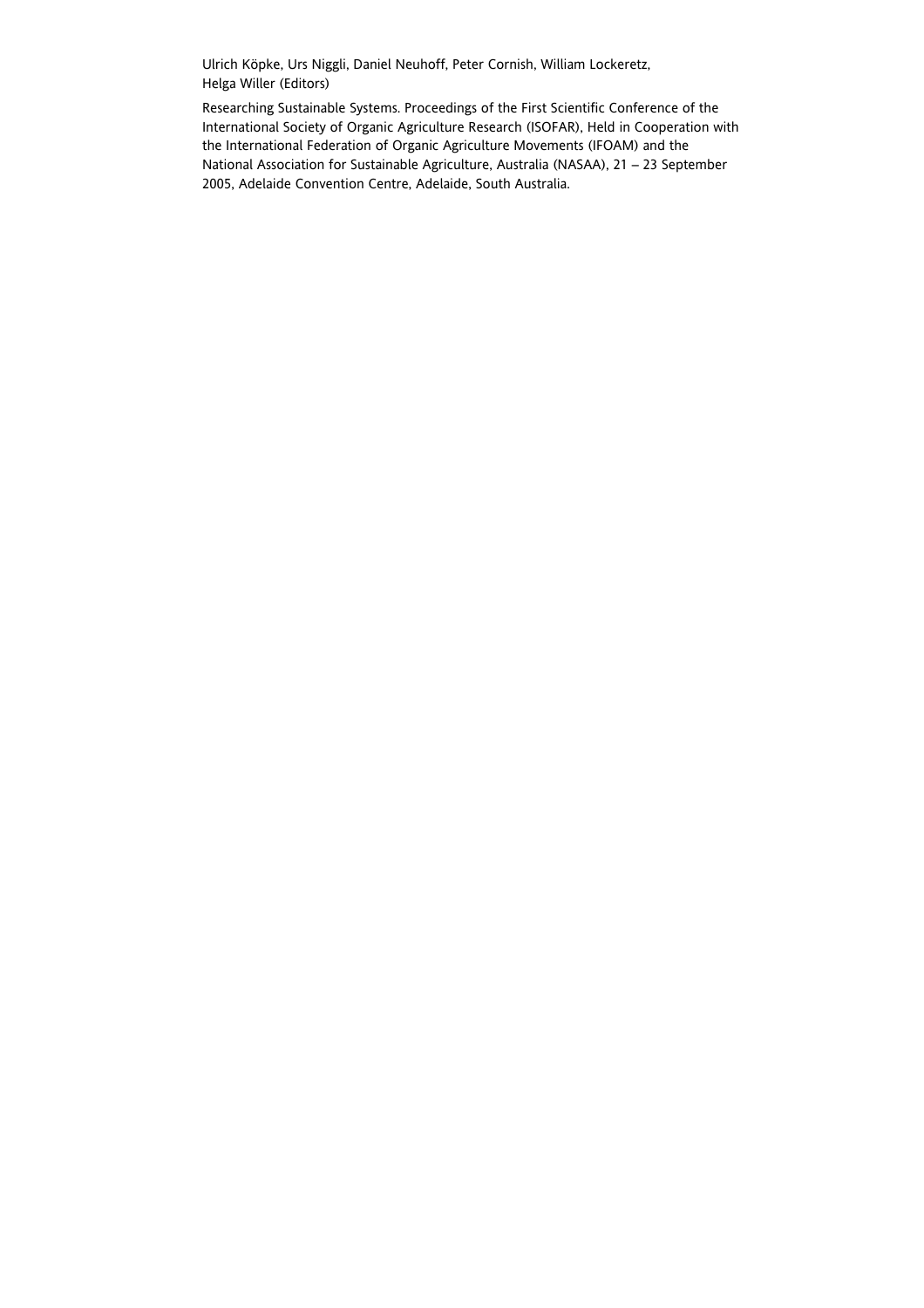Ulrich Köpke, Urs Niggli, Daniel Neuhoff, Peter Cornish, William Lockeretz, Helga Willer (Editors)

Researching Sustainable Systems. Proceedings of the First Scientific Conference of the International Society of Organic Agriculture Research (ISOFAR), Held in Cooperation with the International Federation of Organic Agriculture Movements (IFOAM) and the National Association for Sustainable Agriculture, Australia (NASAA), 21 – 23 September 2005, Adelaide Convention Centre, Adelaide, South Australia.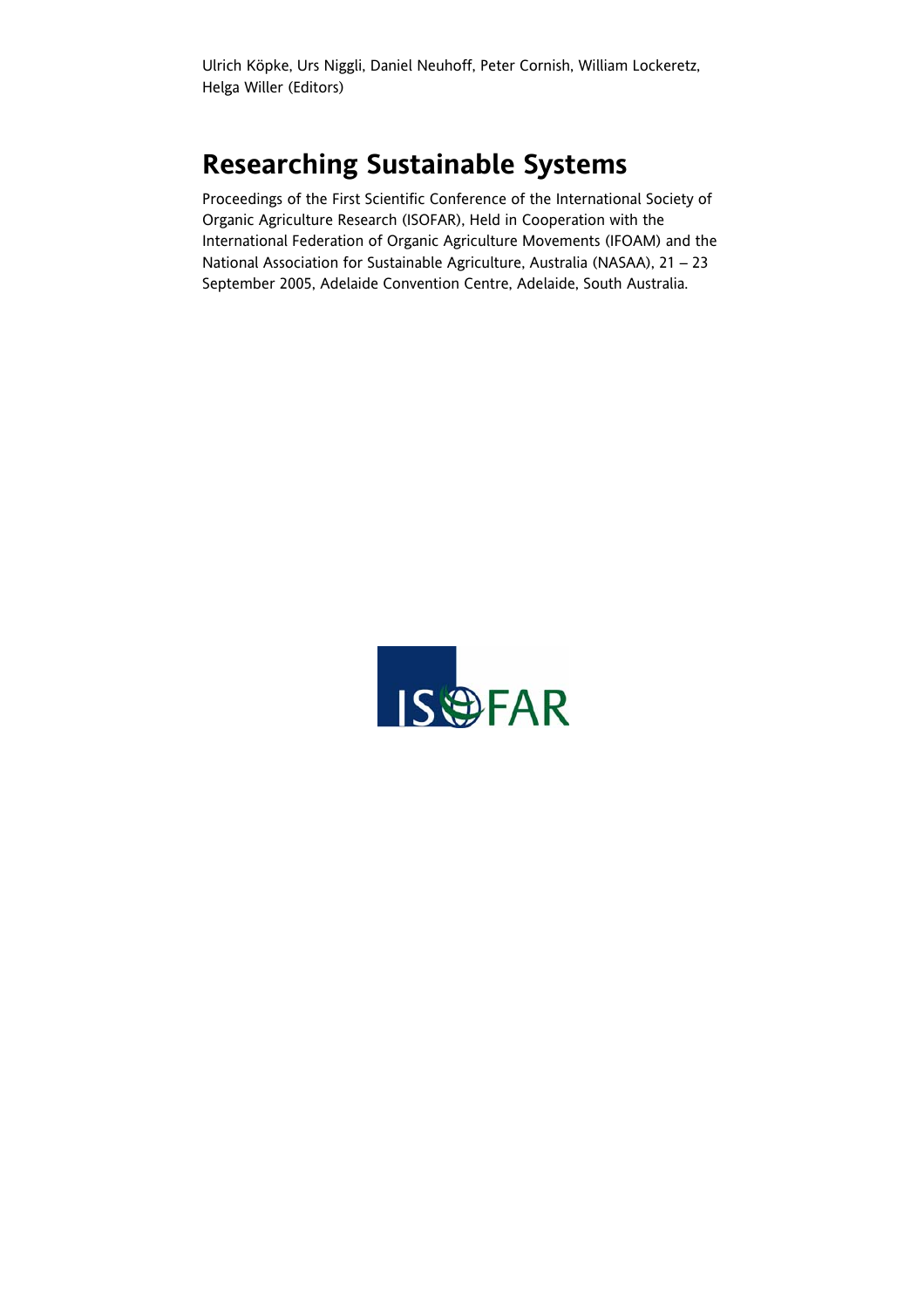Ulrich Köpke, Urs Niggli, Daniel Neuhoff, Peter Cornish, William Lockeretz, Helga Willer (Editors)

# **Researching Sustainable Systems**

Proceedings of the First Scientific Conference of the International Society of Organic Agriculture Research (ISOFAR), Held in Cooperation with the International Federation of Organic Agriculture Movements (IFOAM) and the National Association for Sustainable Agriculture, Australia (NASAA), 21 – 23 September 2005, Adelaide Convention Centre, Adelaide, South Australia.

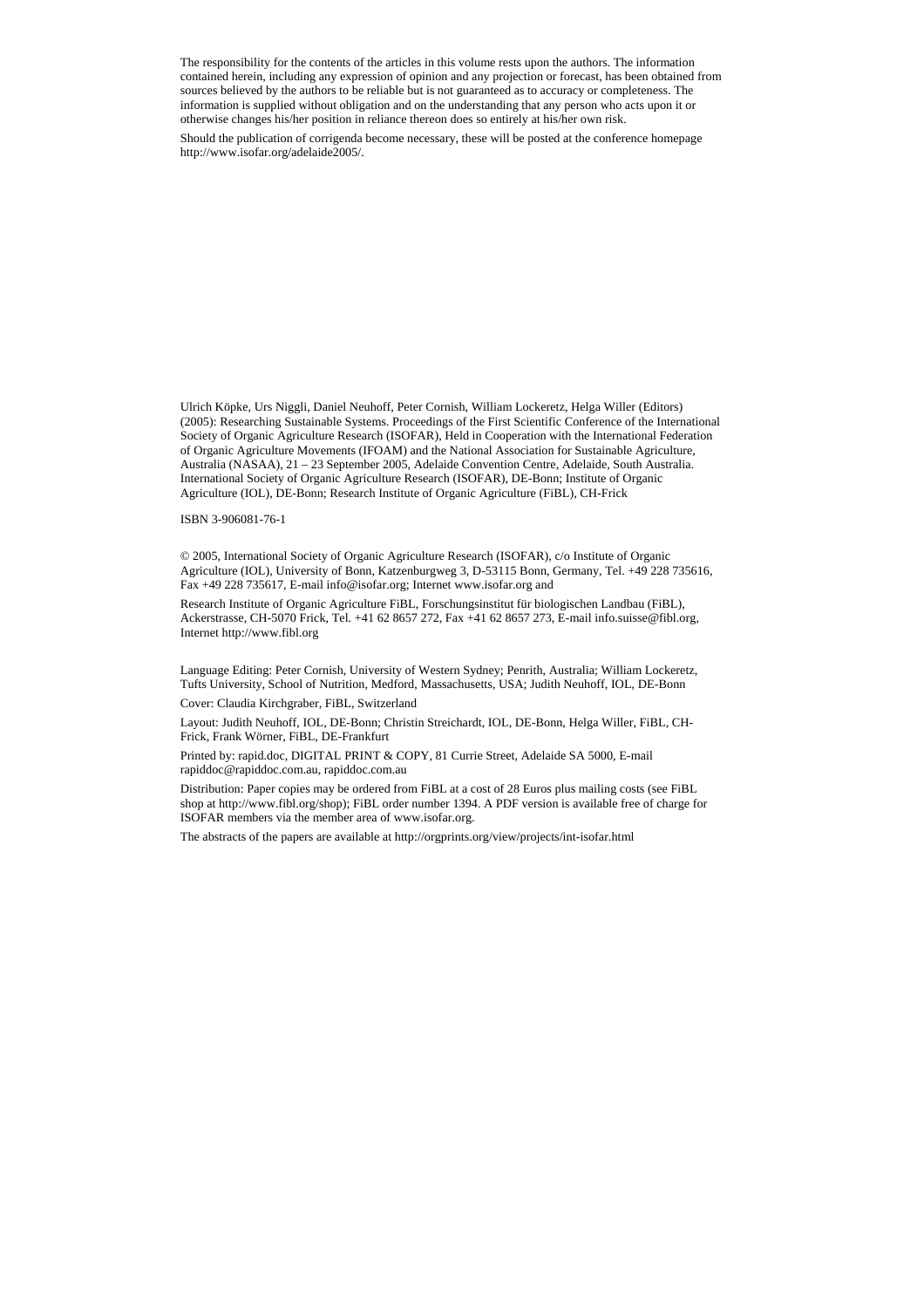The responsibility for the contents of the articles in this volume rests upon the authors. The information contained herein, including any expression of opinion and any projection or forecast, has been obtained from sources believed by the authors to be reliable but is not guaranteed as to accuracy or completeness. The information is supplied without obligation and on the understanding that any person who acts upon it or otherwise changes his/her position in reliance thereon does so entirely at his/her own risk.

Should the publication of corrigenda become necessary, these will be posted at the conference homepage http://www.isofar.org/adelaide2005/.

Ulrich Köpke, Urs Niggli, Daniel Neuhoff, Peter Cornish, William Lockeretz, Helga Willer (Editors) (2005): Researching Sustainable Systems. Proceedings of the First Scientific Conference of the International Society of Organic Agriculture Research (ISOFAR), Held in Cooperation with the International Federation of Organic Agriculture Movements (IFOAM) and the National Association for Sustainable Agriculture, Australia (NASAA), 21 – 23 September 2005, Adelaide Convention Centre, Adelaide, South Australia. International Society of Organic Agriculture Research (ISOFAR), DE-Bonn; Institute of Organic Agriculture (IOL), DE-Bonn; Research Institute of Organic Agriculture (FiBL), CH-Frick

ISBN 3-906081-76-1

© 2005, International Society of Organic Agriculture Research (ISOFAR), c/o Institute of Organic Agriculture (IOL), University of Bonn, Katzenburgweg 3, D-53115 Bonn, Germany, Tel. +49 228 735616, Fax +49 228 735617, E-mail info@isofar.org; Internet www.isofar.org and

Research Institute of Organic Agriculture FiBL, Forschungsinstitut für biologischen Landbau (FiBL), Ackerstrasse, CH-5070 Frick, Tel. +41 62 8657 272, Fax +41 62 8657 273, E-mail info.suisse@fibl.org, Internet http://www.fibl.org

Language Editing: Peter Cornish, University of Western Sydney; Penrith, Australia; William Lockeretz, Tufts University, School of Nutrition, Medford, Massachusetts, USA; Judith Neuhoff, IOL, DE-Bonn

Cover: Claudia Kirchgraber, FiBL, Switzerland

Layout: Judith Neuhoff, IOL, DE-Bonn; Christin Streichardt, IOL, DE-Bonn, Helga Willer, FiBL, CH-Frick, Frank Wörner, FiBL, DE-Frankfurt

Printed by: rapid.doc, DIGITAL PRINT & COPY, 81 Currie Street, Adelaide SA 5000, E-mail rapiddoc@rapiddoc.com.au, rapiddoc.com.au

Distribution: Paper copies may be ordered from FiBL at a cost of 28 Euros plus mailing costs (see FiBL shop at http://www.fibl.org/shop); FiBL order number 1394. A PDF version is available free of charge for ISOFAR members via the member area of www.isofar.org.

The abstracts of the papers are available at http://orgprints.org/view/projects/int-isofar.html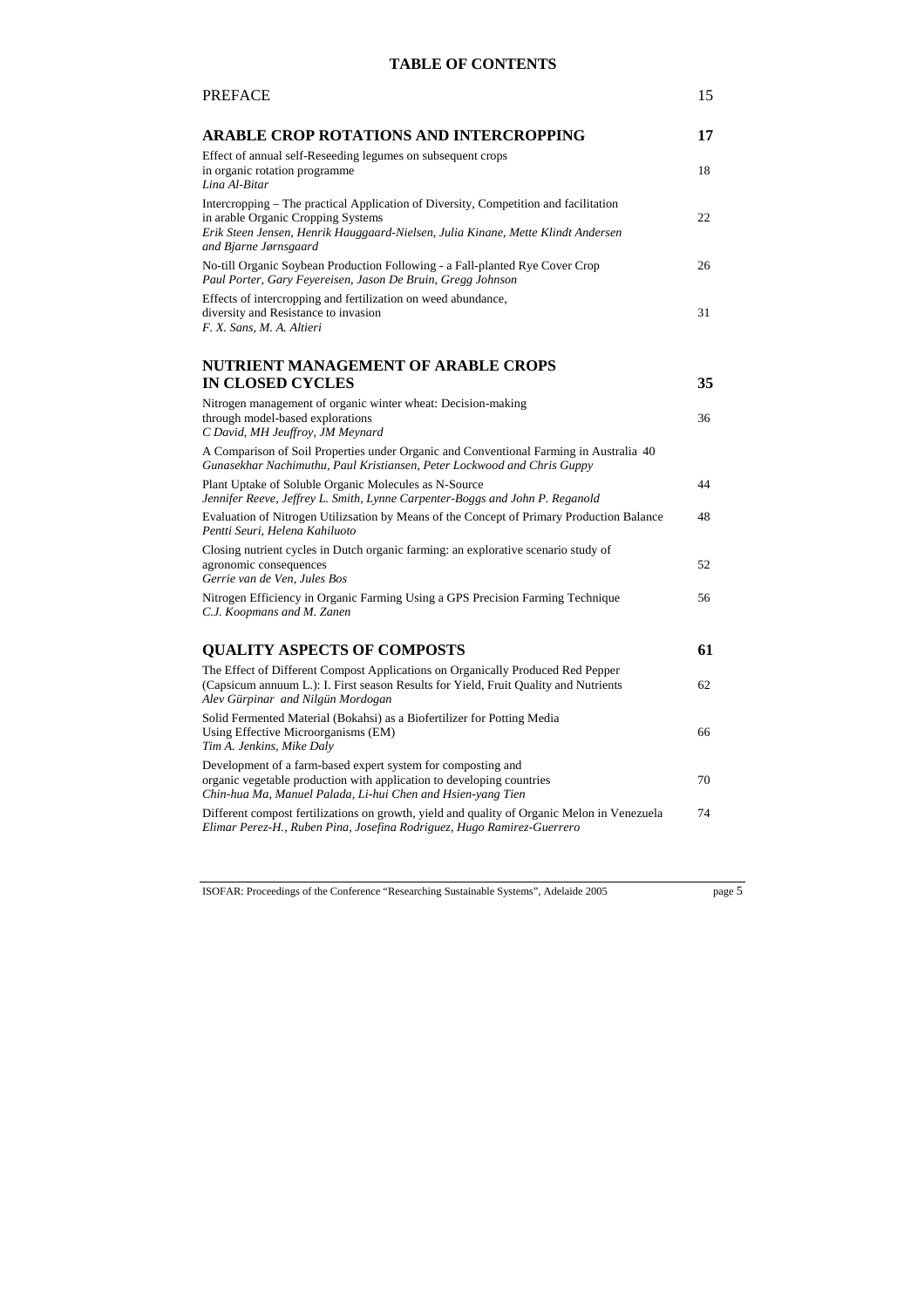### **TABLE OF CONTENTS**

| <b>PREFACE</b>                                                                                                                                                                                                                          | 15 |
|-----------------------------------------------------------------------------------------------------------------------------------------------------------------------------------------------------------------------------------------|----|
| ARABLE CROP ROTATIONS AND INTERCROPPING                                                                                                                                                                                                 | 17 |
| Effect of annual self-Reseeding legumes on subsequent crops<br>in organic rotation programme<br>Lina Al-Bitar                                                                                                                           | 18 |
| Intercropping – The practical Application of Diversity, Competition and facilitation<br>in arable Organic Cropping Systems<br>Erik Steen Jensen, Henrik Hauggaard-Nielsen, Julia Kinane, Mette Klindt Andersen<br>and Bjarne Jørnsgaard | 22 |
| No-till Organic Soybean Production Following - a Fall-planted Rye Cover Crop<br>Paul Porter, Gary Feyereisen, Jason De Bruin, Gregg Johnson                                                                                             | 26 |
| Effects of intercropping and fertilization on weed abundance,<br>diversity and Resistance to invasion<br>F. X. Sans, M. A. Altieri                                                                                                      | 31 |
| NUTRIENT MANAGEMENT OF ARABLE CROPS                                                                                                                                                                                                     |    |
| <b>IN CLOSED CYCLES</b>                                                                                                                                                                                                                 | 35 |
| Nitrogen management of organic winter wheat: Decision-making<br>through model-based explorations<br>C David, MH Jeuffroy, JM Meynard                                                                                                    | 36 |
| A Comparison of Soil Properties under Organic and Conventional Farming in Australia 40<br>Gunasekhar Nachimuthu, Paul Kristiansen, Peter Lockwood and Chris Guppy                                                                       |    |
| Plant Uptake of Soluble Organic Molecules as N-Source<br>Jennifer Reeve, Jeffrey L. Smith, Lynne Carpenter-Boggs and John P. Reganold                                                                                                   | 44 |
| Evaluation of Nitrogen Utilizsation by Means of the Concept of Primary Production Balance<br>Pentti Seuri, Helena Kahiluoto                                                                                                             | 48 |
| Closing nutrient cycles in Dutch organic farming: an explorative scenario study of<br>agronomic consequences<br>Gerrie van de Ven, Jules Bos                                                                                            | 52 |
| Nitrogen Efficiency in Organic Farming Using a GPS Precision Farming Technique<br>C.J. Koopmans and M. Zanen                                                                                                                            | 56 |
| <b>QUALITY ASPECTS OF COMPOSTS</b>                                                                                                                                                                                                      | 61 |
| The Effect of Different Compost Applications on Organically Produced Red Pepper<br>(Capsicum annuum L.): I. First season Results for Yield, Fruit Quality and Nutrients<br>Alev Gürpinar and Nilgün Mordogan                            | 62 |
| Solid Fermented Material (Bokahsi) as a Biofertilizer for Potting Media<br>Using Effective Microorganisms (EM)<br>Tim A. Jenkins, Mike Daly                                                                                             | 66 |
| Development of a farm-based expert system for composting and<br>organic vegetable production with application to developing countries<br>Chin-hua Ma, Manuel Palada, Li-hui Chen and Hsien-yang Tien                                    | 70 |
| Different compost fertilizations on growth, yield and quality of Organic Melon in Venezuela<br>Elimar Perez-H., Ruben Pina, Josefina Rodriguez, Hugo Ramirez-Guerrero                                                                   | 74 |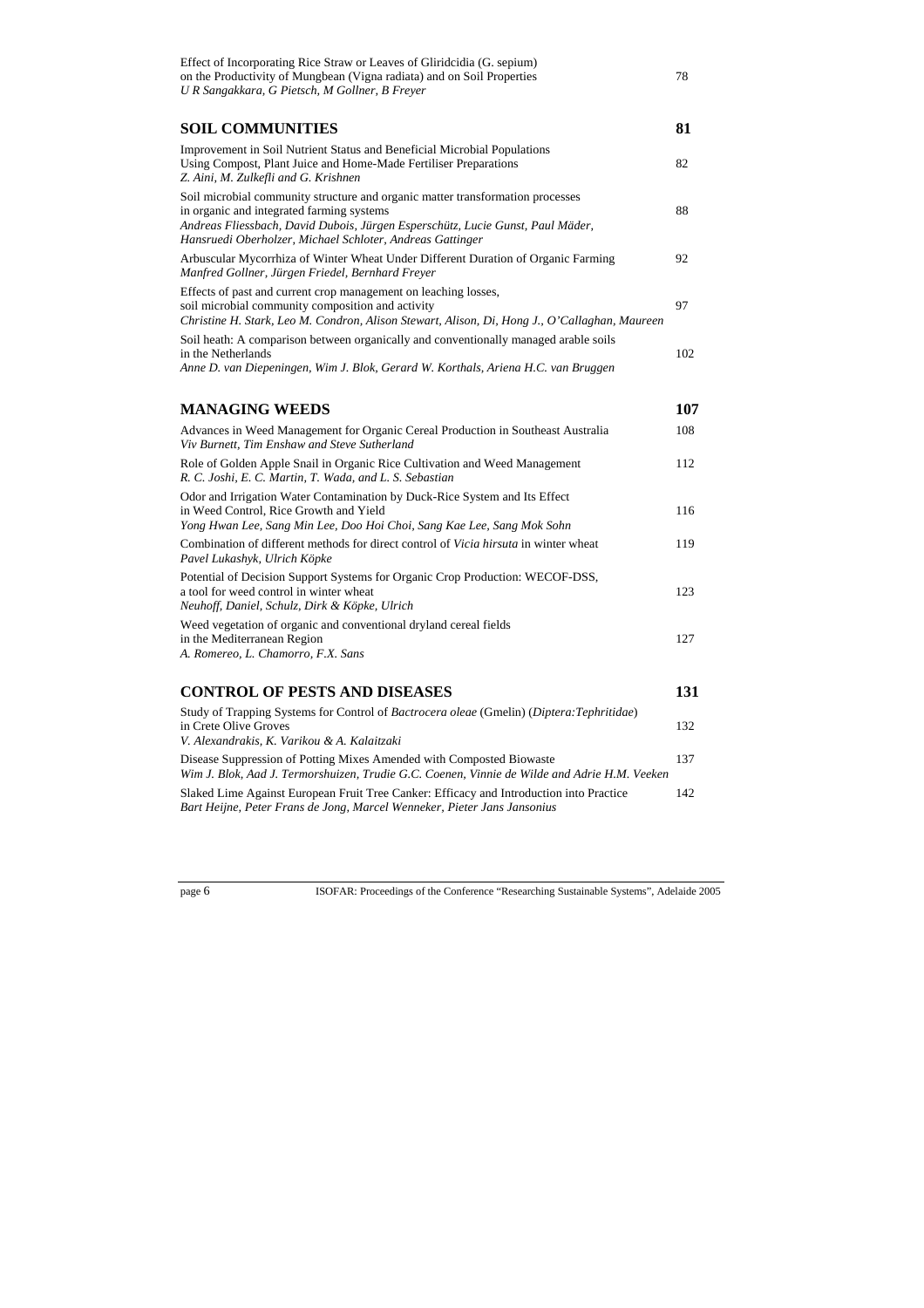| Effect of Incorporating Rice Straw or Leaves of Gliridcidia (G. sepium)<br>on the Productivity of Mungbean (Vigna radiata) and on Soil Properties<br>U R Sangakkara, G Pietsch, M Gollner, B Freyer                                                                        | 78  |
|----------------------------------------------------------------------------------------------------------------------------------------------------------------------------------------------------------------------------------------------------------------------------|-----|
| SOIL COMMUNITIES                                                                                                                                                                                                                                                           | 81  |
| Improvement in Soil Nutrient Status and Beneficial Microbial Populations<br>Using Compost, Plant Juice and Home-Made Fertiliser Preparations<br>Z. Aini, M. Zulkefli and G. Krishnen                                                                                       | 82  |
| Soil microbial community structure and organic matter transformation processes<br>in organic and integrated farming systems<br>Andreas Fliessbach, David Dubois, Jürgen Esperschütz, Lucie Gunst, Paul Mäder,<br>Hansruedi Oberholzer, Michael Schloter, Andreas Gattinger | 88  |
| Arbuscular Mycorrhiza of Winter Wheat Under Different Duration of Organic Farming<br>Manfred Gollner, Jürgen Friedel, Bernhard Freyer                                                                                                                                      | 92  |
| Effects of past and current crop management on leaching losses,<br>soil microbial community composition and activity<br>Christine H. Stark, Leo M. Condron, Alison Stewart, Alison, Di, Hong J., O'Callaghan, Maureen                                                      | 97  |
| Soil heath: A comparison between organically and conventionally managed arable soils<br>in the Netherlands<br>Anne D. van Diepeningen, Wim J. Blok, Gerard W. Korthals, Ariena H.C. van Bruggen                                                                            | 102 |
| <b>MANAGING WEEDS</b>                                                                                                                                                                                                                                                      | 107 |
| Advances in Weed Management for Organic Cereal Production in Southeast Australia<br>Viv Burnett, Tim Enshaw and Steve Sutherland                                                                                                                                           | 108 |
| Role of Golden Apple Snail in Organic Rice Cultivation and Weed Management<br>R. C. Joshi, E. C. Martin, T. Wada, and L. S. Sebastian                                                                                                                                      | 112 |
| Odor and Irrigation Water Contamination by Duck-Rice System and Its Effect<br>in Weed Control, Rice Growth and Yield<br>Yong Hwan Lee, Sang Min Lee, Doo Hoi Choi, Sang Kae Lee, Sang Mok Sohn                                                                             | 116 |
| Combination of different methods for direct control of Vicia hirsuta in winter wheat<br>Pavel Lukashyk, Ulrich Köpke                                                                                                                                                       | 119 |
| Potential of Decision Support Systems for Organic Crop Production: WECOF-DSS,<br>a tool for weed control in winter wheat<br>Neuhoff, Daniel, Schulz, Dirk & Köpke, Ulrich                                                                                                  | 123 |
| Weed vegetation of organic and conventional dryland cereal fields<br>in the Mediterranean Region<br>A. Romereo, L. Chamorro, F.X. Sans                                                                                                                                     | 127 |
| CONTROL OF PESTS AND DISEASES                                                                                                                                                                                                                                              | 131 |
| Study of Trapping Systems for Control of Bactrocera oleae (Gmelin) (Diptera: Tephritidae)<br>in Crete Olive Groves<br>V. Alexandrakis, K. Varikou & A. Kalaitzaki                                                                                                          | 132 |
| Disease Suppression of Potting Mixes Amended with Composted Biowaste<br>Wim J. Blok, Aad J. Termorshuizen, Trudie G.C. Coenen, Vinnie de Wilde and Adrie H.M. Veeken                                                                                                       | 137 |
| Slaked Lime Against European Fruit Tree Canker: Efficacy and Introduction into Practice                                                                                                                                                                                    | 142 |

*Bart Heijne, Peter Frans de Jong, Marcel Wenneker, Pieter Jans Jansonius*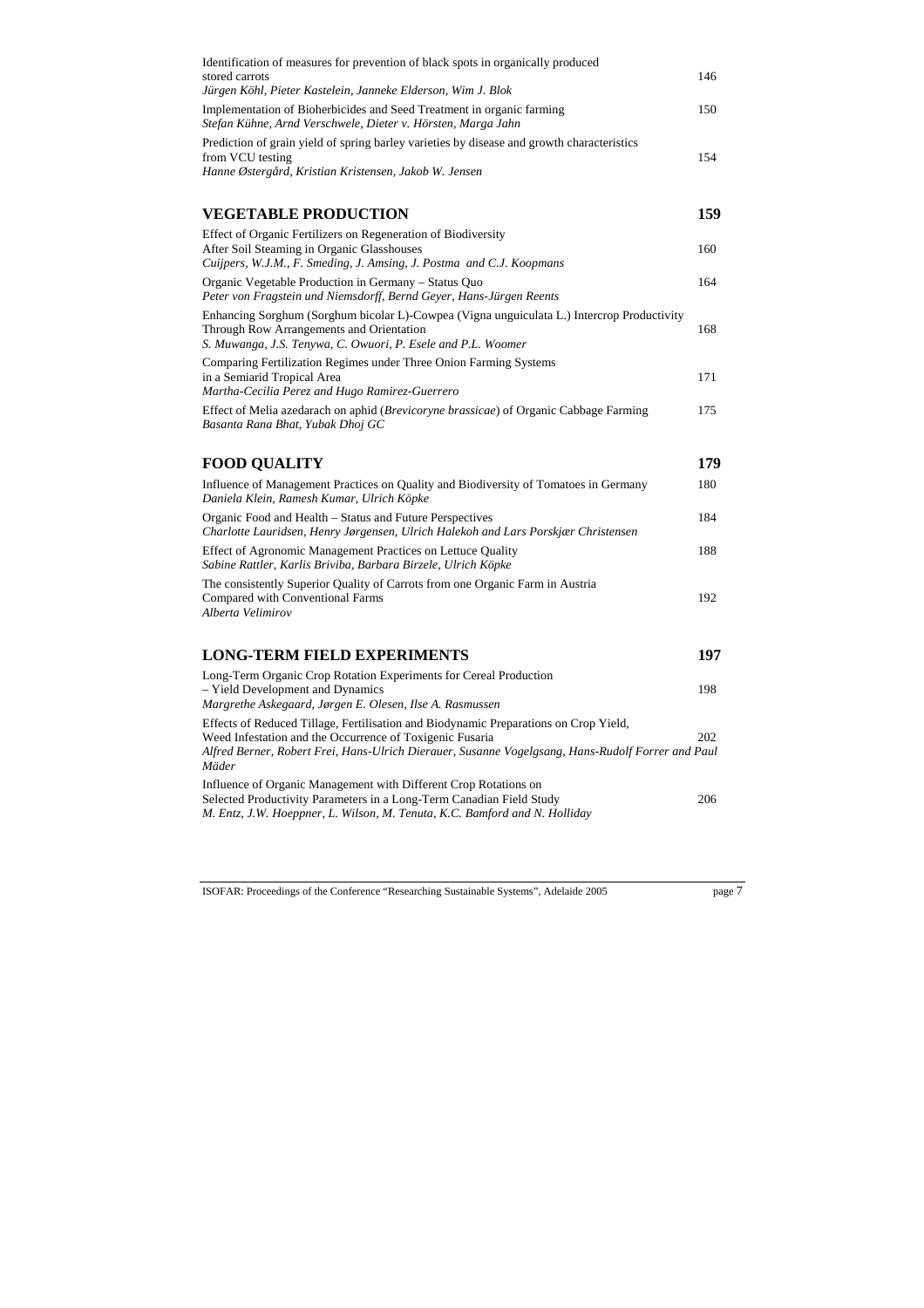| Identification of measures for prevention of black spots in organically produced<br>stored carrots<br>Jürgen Köhl, Pieter Kastelein, Janneke Elderson, Wim J. Blok                                                                                             | 146 |
|----------------------------------------------------------------------------------------------------------------------------------------------------------------------------------------------------------------------------------------------------------------|-----|
| Implementation of Bioherbicides and Seed Treatment in organic farming<br>Stefan Kühne, Arnd Verschwele, Dieter v. Hörsten, Marga Jahn                                                                                                                          | 150 |
| Prediction of grain yield of spring barley varieties by disease and growth characteristics<br>from VCU testing<br>Hanne Østergård, Kristian Kristensen, Jakob W. Jensen                                                                                        | 154 |
| VEGETABLE PRODUCTION                                                                                                                                                                                                                                           | 159 |
| Effect of Organic Fertilizers on Regeneration of Biodiversity<br>After Soil Steaming in Organic Glasshouses<br>Cuijpers, W.J.M., F. Smeding, J. Amsing, J. Postma and C.J. Koopmans                                                                            | 160 |
| Organic Vegetable Production in Germany – Status Quo<br>Peter von Fragstein und Niemsdorff, Bernd Geyer, Hans-Jürgen Reents                                                                                                                                    | 164 |
| Enhancing Sorghum (Sorghum bicolar L)-Cowpea (Vigna unguiculata L.) Intercrop Productivity<br>Through Row Arrangements and Orientation<br>S. Muwanga, J.S. Tenywa, C. Owuori, P. Esele and P.L. Woomer                                                         | 168 |
| Comparing Fertilization Regimes under Three Onion Farming Systems<br>in a Semiarid Tropical Area<br>Martha-Cecilia Perez and Hugo Ramirez-Guerrero                                                                                                             | 171 |
| Effect of Melia azedarach on aphid (Brevicoryne brassicae) of Organic Cabbage Farming<br>Basanta Rana Bhat, Yubak Dhoj GC                                                                                                                                      | 175 |
| <b>FOOD QUALITY</b>                                                                                                                                                                                                                                            | 179 |
| Influence of Management Practices on Quality and Biodiversity of Tomatoes in Germany<br>Daniela Klein, Ramesh Kumar, Ulrich Köpke                                                                                                                              | 180 |
| Organic Food and Health – Status and Future Perspectives<br>Charlotte Lauridsen, Henry Jørgensen, Ulrich Halekoh and Lars Porskjær Christensen                                                                                                                 | 184 |
| Effect of Agronomic Management Practices on Lettuce Quality<br>Sabine Rattler, Karlis Briviba, Barbara Birzele, Ulrich Köpke                                                                                                                                   | 188 |
| The consistently Superior Quality of Carrots from one Organic Farm in Austria<br>Compared with Conventional Farms<br>Alberta Velimirov                                                                                                                         | 192 |
| <b>LONG-TERM FIELD EXPERIMENTS</b>                                                                                                                                                                                                                             | 197 |
| Long-Term Organic Crop Rotation Experiments for Cereal Production<br>- Yield Development and Dynamics<br>Margrethe Askegaard, Jørgen E. Olesen, Ilse A. Rasmussen                                                                                              | 198 |
| Effects of Reduced Tillage, Fertilisation and Biodynamic Preparations on Crop Yield,<br>Weed Infestation and the Occurrence of Toxigenic Fusaria<br>Alfred Berner, Robert Frei, Hans-Ulrich Dierauer, Susanne Vogelgsang, Hans-Rudolf Forrer and Paul<br>Mäder | 202 |
| Influence of Organic Management with Different Crop Rotations on<br>Selected Productivity Parameters in a Long-Term Canadian Field Study<br>M. Entz, J.W. Hoeppner, L. Wilson, M. Tenuta, K.C. Bamford and N. Holliday                                         | 206 |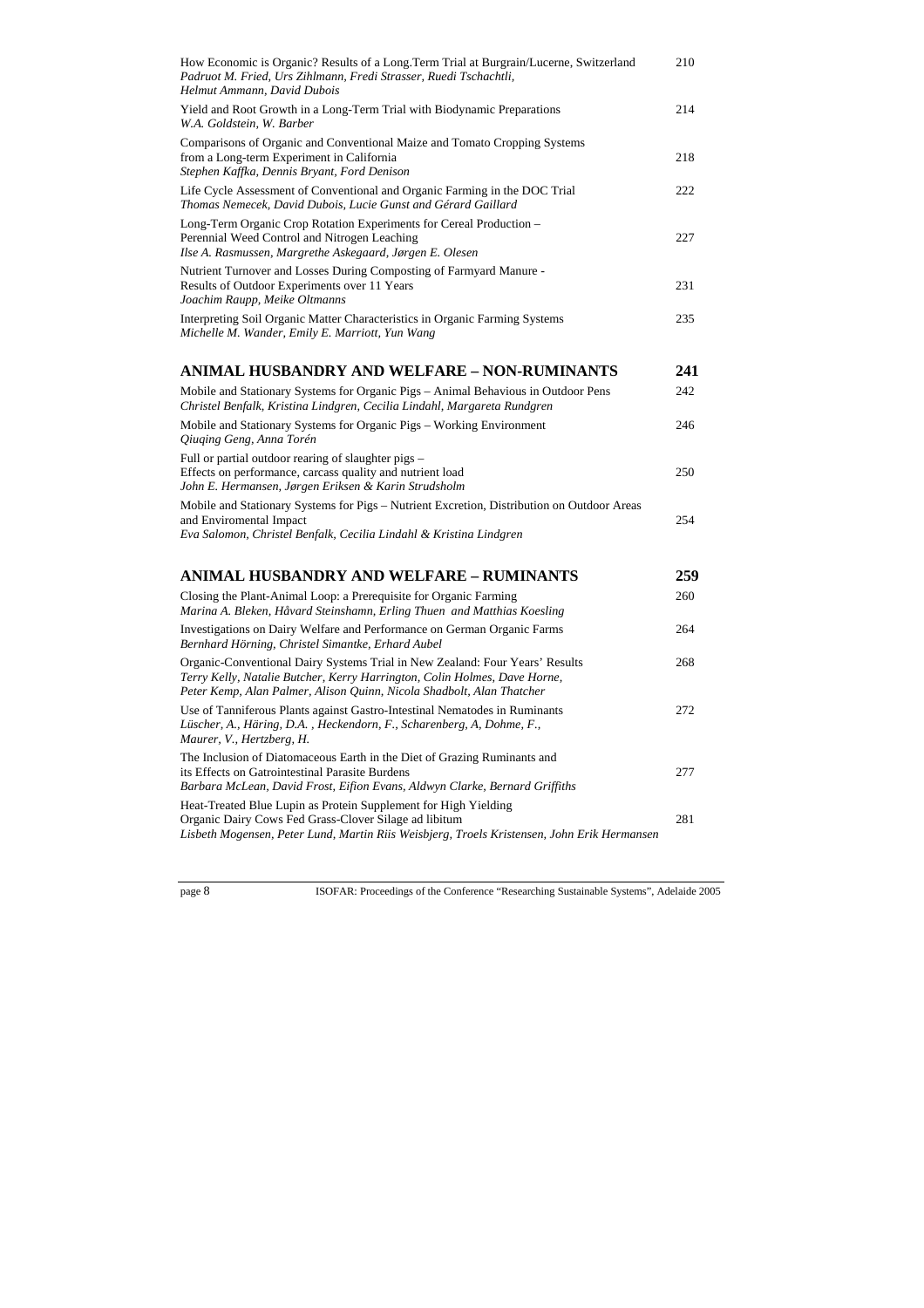| How Economic is Organic? Results of a Long. Term Trial at Burgrain/Lucerne, Switzerland<br>Padruot M. Fried, Urs Zihlmann, Fredi Strasser, Ruedi Tschachtli,<br>Helmut Ammann, David Dubois                                        | 210 |
|------------------------------------------------------------------------------------------------------------------------------------------------------------------------------------------------------------------------------------|-----|
| Yield and Root Growth in a Long-Term Trial with Biodynamic Preparations<br>W.A. Goldstein, W. Barber                                                                                                                               | 214 |
| Comparisons of Organic and Conventional Maize and Tomato Cropping Systems<br>from a Long-term Experiment in California<br>Stephen Kaffka, Dennis Bryant, Ford Denison                                                              | 218 |
| Life Cycle Assessment of Conventional and Organic Farming in the DOC Trial<br>Thomas Nemecek, David Dubois, Lucie Gunst and Gérard Gaillard                                                                                        | 222 |
| Long-Term Organic Crop Rotation Experiments for Cereal Production -<br>Perennial Weed Control and Nitrogen Leaching<br>Ilse A. Rasmussen, Margrethe Askegaard, Jørgen E. Olesen                                                    | 227 |
| Nutrient Turnover and Losses During Composting of Farmyard Manure -<br>Results of Outdoor Experiments over 11 Years<br>Joachim Raupp, Meike Oltmanns                                                                               | 231 |
| Interpreting Soil Organic Matter Characteristics in Organic Farming Systems<br>Michelle M. Wander, Emily E. Marriott, Yun Wang                                                                                                     | 235 |
| ANIMAL HUSBANDRY AND WELFARE – NON-RUMINANTS                                                                                                                                                                                       | 241 |
| Mobile and Stationary Systems for Organic Pigs – Animal Behavious in Outdoor Pens<br>Christel Benfalk, Kristina Lindgren, Cecilia Lindahl, Margareta Rundgren                                                                      | 242 |
| Mobile and Stationary Systems for Organic Pigs - Working Environment<br>Qiuging Geng, Anna Torén                                                                                                                                   | 246 |
| Full or partial outdoor rearing of slaughter pigs –<br>Effects on performance, carcass quality and nutrient load<br>John E. Hermansen, Jørgen Eriksen & Karin Strudsholm                                                           | 250 |
| Mobile and Stationary Systems for Pigs - Nutrient Excretion, Distribution on Outdoor Areas<br>and Enviromental Impact<br>Eva Salomon, Christel Benfalk, Cecilia Lindahl & Kristina Lindgren                                        | 254 |
| ANIMAL HUSBANDRY AND WELFARE – RUMINANTS                                                                                                                                                                                           | 259 |
| Closing the Plant-Animal Loop: a Prerequisite for Organic Farming<br>Marina A. Bleken, Håvard Steinshamn, Erling Thuen and Matthias Koesling                                                                                       | 260 |
| Investigations on Dairy Welfare and Performance on German Organic Farms<br>Bernhard Hörning, Christel Simantke, Erhard Aubel                                                                                                       | 264 |
| Organic-Conventional Dairy Systems Trial in New Zealand: Four Years' Results<br>Terry Kelly, Natalie Butcher, Kerry Harrington, Colin Holmes, Dave Horne,<br>Peter Kemp, Alan Palmer, Alison Quinn, Nicola Shadbolt, Alan Thatcher | 268 |
| Use of Tanniferous Plants against Gastro-Intestinal Nematodes in Ruminants<br>Lüscher, A., Häring, D.A., Heckendorn, F., Scharenberg, A, Dohme, F.,<br>Maurer, V., Hertzberg, H.                                                   | 272 |
| The Inclusion of Diatomaceous Earth in the Diet of Grazing Ruminants and<br>its Effects on Gatrointestinal Parasite Burdens<br>Barbara McLean, David Frost, Eifion Evans, Aldwyn Clarke, Bernard Griffiths                         | 277 |
| Heat-Treated Blue Lupin as Protein Supplement for High Yielding<br>Organic Dairy Cows Fed Grass-Clover Silage ad libitum<br>Lisbeth Mogensen, Peter Lund, Martin Riis Weisbjerg, Troels Kristensen, John Erik Hermansen            | 281 |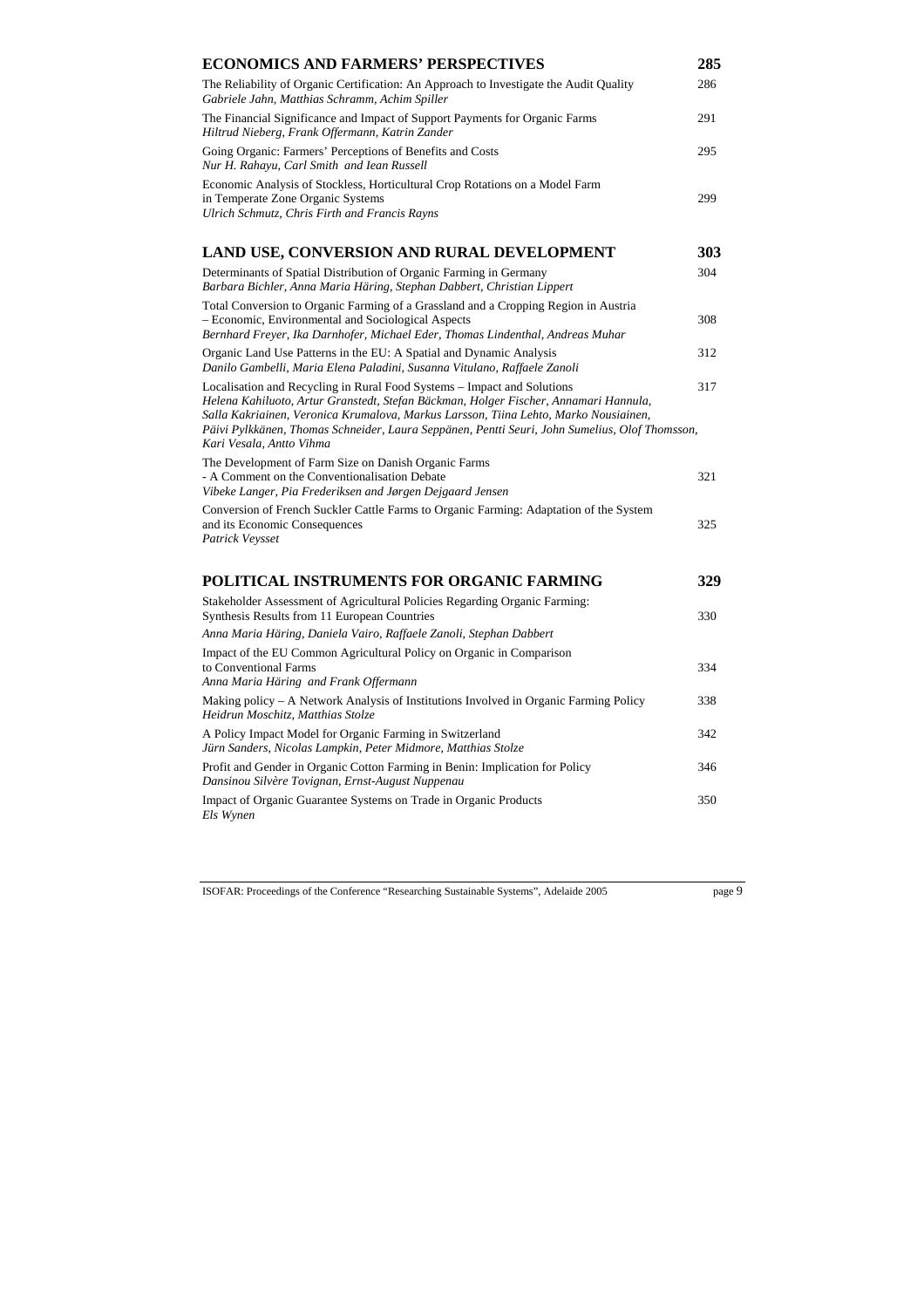| ECONOMICS AND FARMERS' PERSPECTIVES                                                                                                                                                                                                                                                                                                                                                   | 285 |
|---------------------------------------------------------------------------------------------------------------------------------------------------------------------------------------------------------------------------------------------------------------------------------------------------------------------------------------------------------------------------------------|-----|
| The Reliability of Organic Certification: An Approach to Investigate the Audit Quality<br>Gabriele Jahn, Matthias Schramm, Achim Spiller                                                                                                                                                                                                                                              | 286 |
| The Financial Significance and Impact of Support Payments for Organic Farms<br>Hiltrud Nieberg, Frank Offermann, Katrin Zander                                                                                                                                                                                                                                                        | 291 |
| Going Organic: Farmers' Perceptions of Benefits and Costs<br>Nur H. Rahayu, Carl Smith and Iean Russell                                                                                                                                                                                                                                                                               | 295 |
| Economic Analysis of Stockless, Horticultural Crop Rotations on a Model Farm<br>in Temperate Zone Organic Systems<br>Ulrich Schmutz, Chris Firth and Francis Rayns                                                                                                                                                                                                                    | 299 |
| LAND USE, CONVERSION AND RURAL DEVELOPMENT                                                                                                                                                                                                                                                                                                                                            | 303 |
| Determinants of Spatial Distribution of Organic Farming in Germany<br>Barbara Bichler, Anna Maria Häring, Stephan Dabbert, Christian Lippert                                                                                                                                                                                                                                          | 304 |
| Total Conversion to Organic Farming of a Grassland and a Cropping Region in Austria<br>- Economic, Environmental and Sociological Aspects<br>Bernhard Freyer, Ika Darnhofer, Michael Eder, Thomas Lindenthal, Andreas Muhar                                                                                                                                                           | 308 |
| Organic Land Use Patterns in the EU: A Spatial and Dynamic Analysis<br>Danilo Gambelli, Maria Elena Paladini, Susanna Vitulano, Raffaele Zanoli                                                                                                                                                                                                                                       | 312 |
| Localisation and Recycling in Rural Food Systems - Impact and Solutions<br>Helena Kahiluoto, Artur Granstedt, Stefan Bäckman, Holger Fischer, Annamari Hannula,<br>Salla Kakriainen, Veronica Krumalova, Markus Larsson, Tiina Lehto, Marko Nousiainen,<br>Päivi Pylkkänen, Thomas Schneider, Laura Seppänen, Pentti Seuri, John Sumelius, Olof Thomsson,<br>Kari Vesala, Antto Vihma | 317 |
| The Development of Farm Size on Danish Organic Farms<br>- A Comment on the Conventionalisation Debate<br>Vibeke Langer, Pia Frederiksen and Jørgen Dejgaard Jensen                                                                                                                                                                                                                    | 321 |
| Conversion of French Suckler Cattle Farms to Organic Farming: Adaptation of the System<br>and its Economic Consequences<br>Patrick Veysset                                                                                                                                                                                                                                            | 325 |
| POLITICAL INSTRUMENTS FOR ORGANIC FARMING                                                                                                                                                                                                                                                                                                                                             | 329 |
| Stakeholder Assessment of Agricultural Policies Regarding Organic Farming:<br>Synthesis Results from 11 European Countries                                                                                                                                                                                                                                                            | 330 |
| Anna Maria Häring, Daniela Vairo, Raffaele Zanoli, Stephan Dabbert                                                                                                                                                                                                                                                                                                                    |     |
| Impact of the EU Common Agricultural Policy on Organic in Comparison<br>to Conventional Farms<br>Anna Maria Häring and Frank Offermann                                                                                                                                                                                                                                                | 334 |
| Making policy – A Network Analysis of Institutions Involved in Organic Farming Policy<br>Heidrun Moschitz, Matthias Stolze                                                                                                                                                                                                                                                            | 338 |
| A Policy Impact Model for Organic Farming in Switzerland<br>Jürn Sanders, Nicolas Lampkin, Peter Midmore, Matthias Stolze                                                                                                                                                                                                                                                             | 342 |
| Profit and Gender in Organic Cotton Farming in Benin: Implication for Policy<br>Dansinou Silvère Tovignan, Ernst-August Nuppenau                                                                                                                                                                                                                                                      | 346 |
| Impact of Organic Guarantee Systems on Trade in Organic Products<br>Els Wynen                                                                                                                                                                                                                                                                                                         | 350 |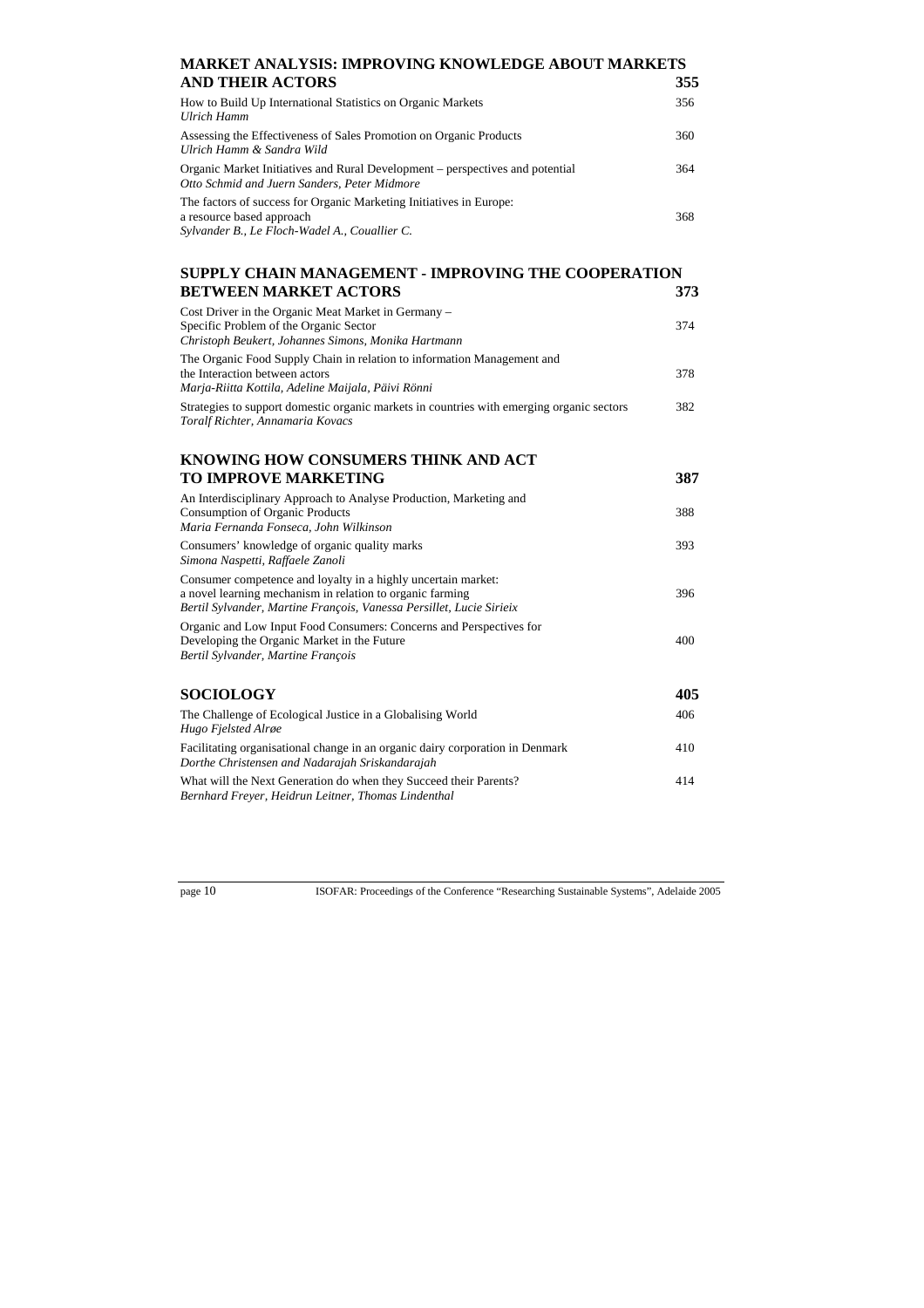#### **MARKET ANALYSIS: IMPROVING KNOWLEDGE ABOUT MARKETS AND THEIR ACTORS**

| How to Build Up International Statistics on Organic Markets<br>Ulrich Hamm                                                                        | 356 |
|---------------------------------------------------------------------------------------------------------------------------------------------------|-----|
| Assessing the Effectiveness of Sales Promotion on Organic Products<br>Ulrich Hamm & Sandra Wild                                                   | 360 |
| Organic Market Initiatives and Rural Development – perspectives and potential<br>Otto Schmid and Juern Sanders, Peter Midmore                     | 364 |
| The factors of success for Organic Marketing Initiatives in Europe:<br>a resource based approach<br>Sylvander B., Le Floch-Wadel A., Couallier C. | 368 |

### **SUPPLY CHAIN MANAGEMENT - IMPROVING THE COOPERATION BETWEEN MARKET ACTORS 373**

| Cost Driver in the Organic Meat Market in Germany –                                                                           |     |
|-------------------------------------------------------------------------------------------------------------------------------|-----|
| Specific Problem of the Organic Sector                                                                                        | 374 |
| Christoph Beukert, Johannes Simons, Monika Hartmann                                                                           |     |
| The Organic Food Supply Chain in relation to information Management and                                                       |     |
| the Interaction between actors                                                                                                | 378 |
| Marja-Riitta Kottila, Adeline Maijala, Päivi Rönni                                                                            |     |
| Strategies to support domestic organic markets in countries with emerging organic sectors<br>Toralf Richter, Annamaria Kovacs | 382 |

#### **KNOWING HOW CONSUMERS THINK AND ACT TO IMPROVE MARKETING 387**

| An Interdisciplinary Approach to Analyse Production, Marketing and<br>Consumption of Organic Products<br>Maria Fernanda Fonseca, John Wilkinson                                                    | 388 |
|----------------------------------------------------------------------------------------------------------------------------------------------------------------------------------------------------|-----|
| Consumers' knowledge of organic quality marks<br>Simona Naspetti, Raffaele Zanoli                                                                                                                  | 393 |
| Consumer competence and loyalty in a highly uncertain market:<br>a novel learning mechanism in relation to organic farming<br>Bertil Sylvander, Martine François, Vanessa Persillet, Lucie Sirieix | 396 |
| Organic and Low Input Food Consumers: Concerns and Perspectives for<br>Developing the Organic Market in the Future<br>Bertil Sylvander, Martine François                                           | 400 |
| <b>SOCIOLOGY</b>                                                                                                                                                                                   | 405 |
| The Challenge of Ecological Justice in a Globalising World<br>Hugo Fjelsted Alrøe                                                                                                                  | 406 |
| Facilitating organisational change in an organic dairy corporation in Denmark<br>Dorthe Christensen and Nadarajah Sriskandarajah                                                                   | 410 |
| What will the Next Generation do when they Succeed their Parents?<br>Bernhard Freyer, Heidrun Leitner, Thomas Lindenthal                                                                           | 414 |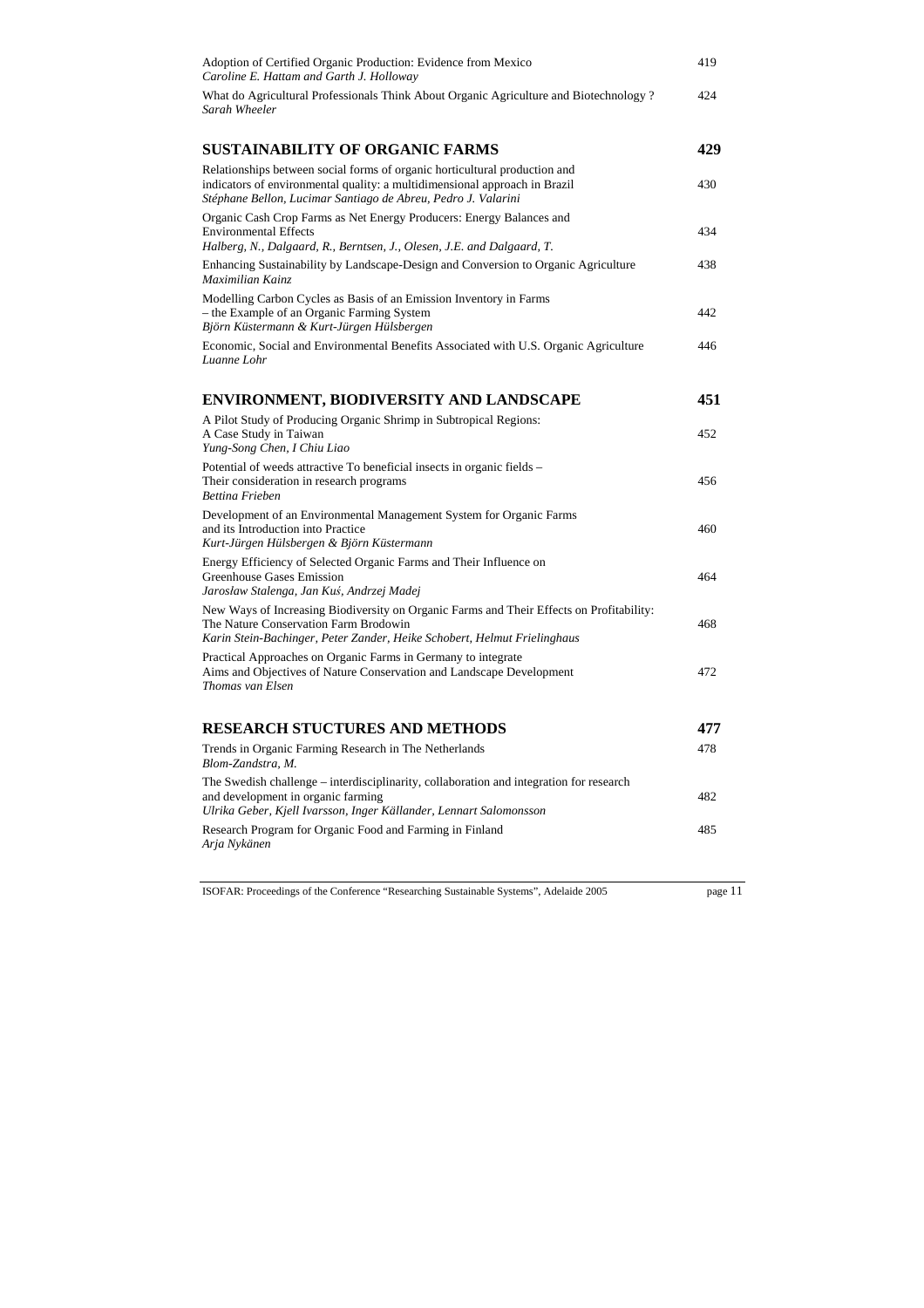| Adoption of Certified Organic Production: Evidence from Mexico<br>Caroline E. Hattam and Garth J. Holloway                                                                                                                | 419 |
|---------------------------------------------------------------------------------------------------------------------------------------------------------------------------------------------------------------------------|-----|
| What do Agricultural Professionals Think About Organic Agriculture and Biotechnology?<br>Sarah Wheeler                                                                                                                    | 424 |
| <b>SUSTAINABILITY OF ORGANIC FARMS</b>                                                                                                                                                                                    | 429 |
| Relationships between social forms of organic horticultural production and<br>indicators of environmental quality: a multidimensional approach in Brazil<br>Stéphane Bellon, Lucimar Santiago de Abreu, Pedro J. Valarini | 430 |
| Organic Cash Crop Farms as Net Energy Producers: Energy Balances and<br><b>Environmental Effects</b><br>Halberg, N., Dalgaard, R., Berntsen, J., Olesen, J.E. and Dalgaard, T.                                            | 434 |
| Enhancing Sustainability by Landscape-Design and Conversion to Organic Agriculture<br>Maximilian Kainz                                                                                                                    | 438 |
| Modelling Carbon Cycles as Basis of an Emission Inventory in Farms<br>- the Example of an Organic Farming System<br>Björn Küstermann & Kurt-Jürgen Hülsbergen                                                             | 442 |
| Economic, Social and Environmental Benefits Associated with U.S. Organic Agriculture<br>Luanne Lohr                                                                                                                       | 446 |
| ENVIRONMENT, BIODIVERSITY AND LANDSCAPE                                                                                                                                                                                   | 451 |
| A Pilot Study of Producing Organic Shrimp in Subtropical Regions:<br>A Case Study in Taiwan<br>Yung-Song Chen, I Chiu Liao                                                                                                | 452 |
| Potential of weeds attractive To beneficial insects in organic fields -<br>Their consideration in research programs<br><b>Bettina Frieben</b>                                                                             | 456 |
| Development of an Environmental Management System for Organic Farms<br>and its Introduction into Practice<br>Kurt-Jürgen Hülsbergen & Björn Küstermann                                                                    | 460 |
| Energy Efficiency of Selected Organic Farms and Their Influence on<br><b>Greenhouse Gases Emission</b><br>Jarosław Stalenga, Jan Kuś, Andrzej Madej                                                                       | 464 |
| New Ways of Increasing Biodiversity on Organic Farms and Their Effects on Profitability:<br>The Nature Conservation Farm Brodowin<br>Karin Stein-Bachinger, Peter Zander, Heike Schobert, Helmut Frielinghaus             | 468 |
| Practical Approaches on Organic Farms in Germany to integrate<br>Aims and Objectives of Nature Conservation and Landscape Development<br>Thomas van Elsen                                                                 | 472 |
| <b>RESEARCH STUCTURES AND METHODS</b>                                                                                                                                                                                     | 477 |
| Trends in Organic Farming Research in The Netherlands<br>Blom-Zandstra, M.                                                                                                                                                | 478 |
| The Swedish challenge – interdisciplinarity, collaboration and integration for research<br>and development in organic farming<br>Ulrika Geber, Kjell Ivarsson, Inger Källander, Lennart Salomonsson                       | 482 |
| Research Program for Organic Food and Farming in Finland<br>Arja Nykänen                                                                                                                                                  | 485 |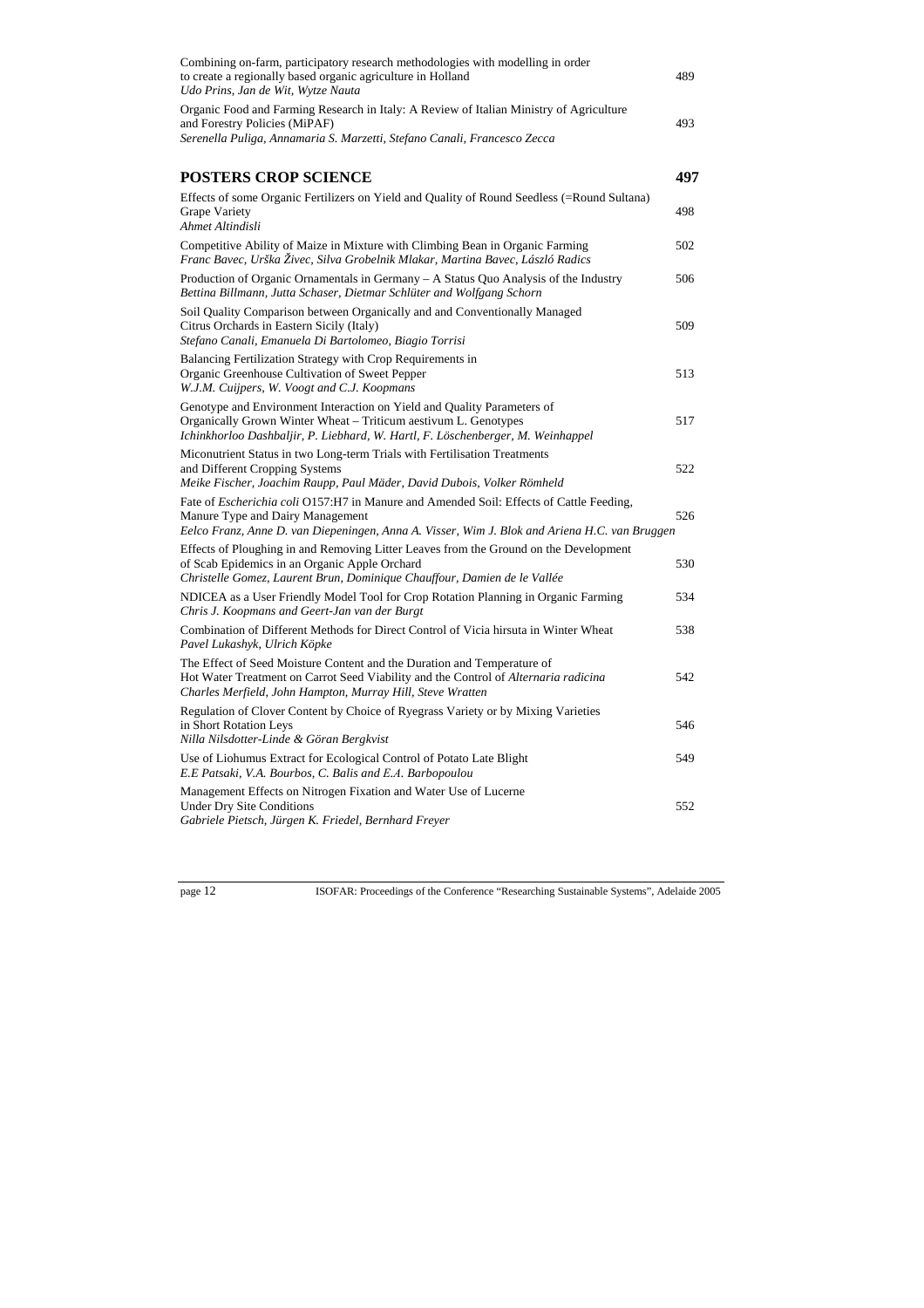| Combining on-farm, participatory research methodologies with modelling in order<br>to create a regionally based organic agriculture in Holland<br>Udo Prins, Jan de Wit, Wytze Nauta                                                | 489 |
|-------------------------------------------------------------------------------------------------------------------------------------------------------------------------------------------------------------------------------------|-----|
| Organic Food and Farming Research in Italy: A Review of Italian Ministry of Agriculture<br>and Forestry Policies (MiPAF)<br>Serenella Puliga, Annamaria S. Marzetti, Stefano Canali, Francesco Zecca                                | 493 |
| <b>POSTERS CROP SCIENCE</b>                                                                                                                                                                                                         | 497 |
| Effects of some Organic Fertilizers on Yield and Quality of Round Seedless (=Round Sultana)<br><b>Grape Variety</b><br>Ahmet Altindisli                                                                                             | 498 |
| Competitive Ability of Maize in Mixture with Climbing Bean in Organic Farming<br>Franc Bavec, Urška Živec, Silva Grobelnik Mlakar, Martina Bavec, László Radics                                                                     | 502 |
| Production of Organic Ornamentals in Germany – A Status Quo Analysis of the Industry<br>Bettina Billmann, Jutta Schaser, Dietmar Schlüter and Wolfgang Schorn                                                                       | 506 |
| Soil Quality Comparison between Organically and and Conventionally Managed<br>Citrus Orchards in Eastern Sicily (Italy)<br>Stefano Canali, Emanuela Di Bartolomeo, Biagio Torrisi                                                   | 509 |
| Balancing Fertilization Strategy with Crop Requirements in<br>Organic Greenhouse Cultivation of Sweet Pepper<br>W.J.M. Cuijpers, W. Voogt and C.J. Koopmans                                                                         | 513 |
| Genotype and Environment Interaction on Yield and Quality Parameters of<br>Organically Grown Winter Wheat – Triticum aestivum L. Genotypes<br>Ichinkhorloo Dashbaljir, P. Liebhard, W. Hartl, F. Löschenberger, M. Weinhappel       | 517 |
| Miconutrient Status in two Long-term Trials with Fertilisation Treatments<br>and Different Cropping Systems<br>Meike Fischer, Joachim Raupp, Paul Mäder, David Dubois, Volker Römheld                                               | 522 |
| Fate of <i>Escherichia coli</i> O157:H7 in Manure and Amended Soil: Effects of Cattle Feeding,<br>Manure Type and Dairy Management<br>Eelco Franz, Anne D. van Diepeningen, Anna A. Visser, Wim J. Blok and Ariena H.C. van Bruggen | 526 |
| Effects of Ploughing in and Removing Litter Leaves from the Ground on the Development<br>of Scab Epidemics in an Organic Apple Orchard<br>Christelle Gomez, Laurent Brun, Dominique Chauffour, Damien de le Vallée                  | 530 |
| NDICEA as a User Friendly Model Tool for Crop Rotation Planning in Organic Farming<br>Chris J. Koopmans and Geert-Jan van der Burgt                                                                                                 | 534 |
| Combination of Different Methods for Direct Control of Vicia hirsuta in Winter Wheat<br>Pavel Lukashyk, Ulrich Köpke                                                                                                                | 538 |
| The Effect of Seed Moisture Content and the Duration and Temperature of<br>Hot Water Treatment on Carrot Seed Viability and the Control of Alternaria radicina<br>Charles Merfield, John Hampton, Murray Hill, Steve Wratten        | 542 |
| Regulation of Clover Content by Choice of Ryegrass Variety or by Mixing Varieties<br>in Short Rotation Leys<br>Nilla Nilsdotter-Linde & Göran Bergkvist                                                                             | 546 |
| Use of Liohumus Extract for Ecological Control of Potato Late Blight<br>E.E Patsaki, V.A. Bourbos, C. Balis and E.A. Barbopoulou                                                                                                    | 549 |
| Management Effects on Nitrogen Fixation and Water Use of Lucerne<br><b>Under Dry Site Conditions</b><br>Gabriele Pietsch, Jürgen K. Friedel, Bernhard Freyer                                                                        | 552 |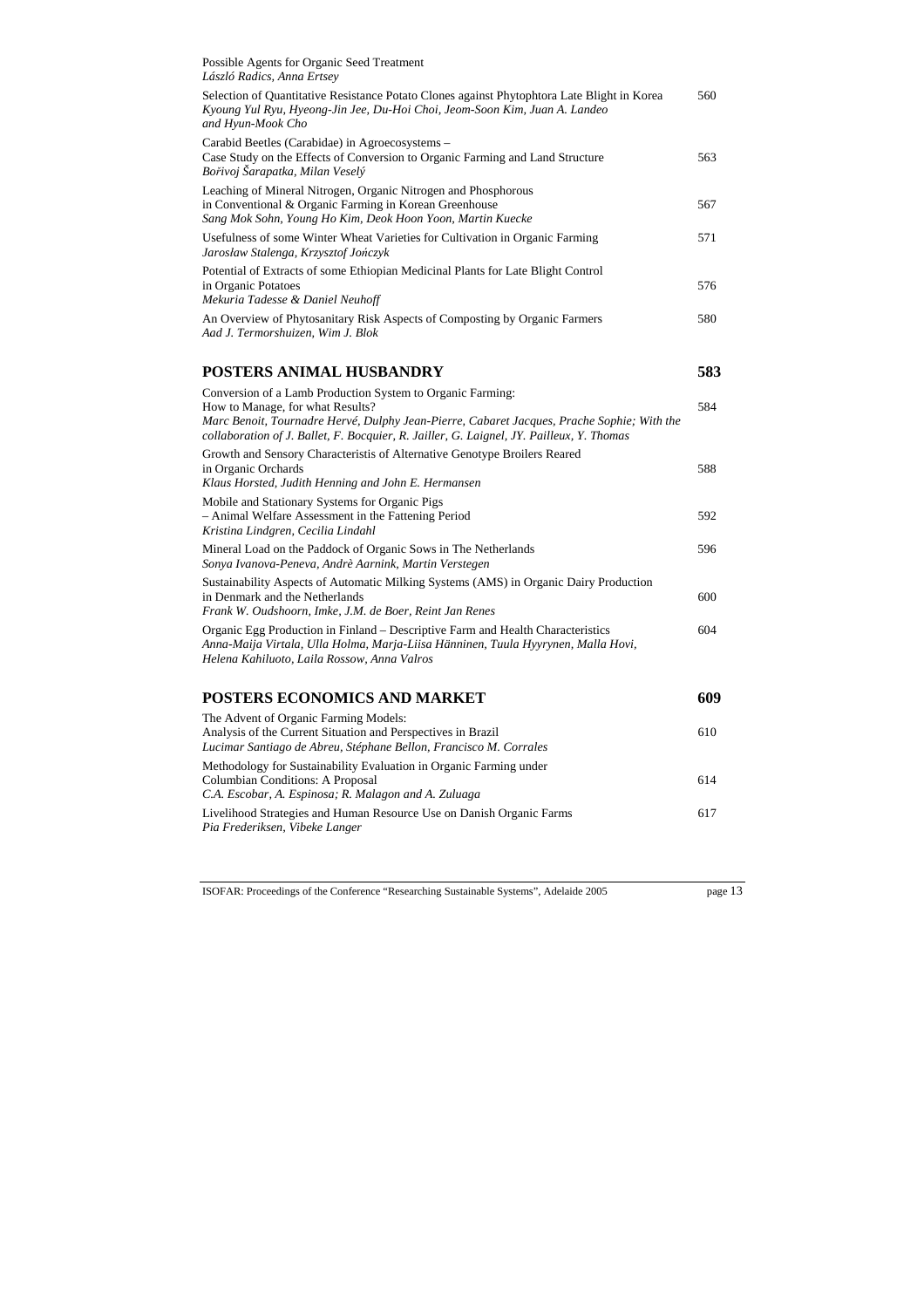| Possible Agents for Organic Seed Treatment<br>László Radics, Anna Ertsey                                                                                                                                                                                                                 |     |
|------------------------------------------------------------------------------------------------------------------------------------------------------------------------------------------------------------------------------------------------------------------------------------------|-----|
| Selection of Quantitative Resistance Potato Clones against Phytophtora Late Blight in Korea<br>Kyoung Yul Ryu, Hyeong-Jin Jee, Du-Hoi Choi, Jeom-Soon Kim, Juan A. Landeo<br>and Hyun-Mook Cho                                                                                           | 560 |
| Carabid Beetles (Carabidae) in Agroecosystems -<br>Case Study on the Effects of Conversion to Organic Farming and Land Structure<br>Bořivoj Šarapatka, Milan Veselý                                                                                                                      | 563 |
| Leaching of Mineral Nitrogen, Organic Nitrogen and Phosphorous<br>in Conventional & Organic Farming in Korean Greenhouse<br>Sang Mok Sohn, Young Ho Kim, Deok Hoon Yoon, Martin Kuecke                                                                                                   | 567 |
| Usefulness of some Winter Wheat Varieties for Cultivation in Organic Farming<br>Jarosław Stalenga, Krzysztof Jończyk                                                                                                                                                                     | 571 |
| Potential of Extracts of some Ethiopian Medicinal Plants for Late Blight Control<br>in Organic Potatoes<br>Mekuria Tadesse & Daniel Neuhoff                                                                                                                                              | 576 |
| An Overview of Phytosanitary Risk Aspects of Composting by Organic Farmers<br>Aad J. Termorshuizen, Wim J. Blok                                                                                                                                                                          | 580 |
| POSTERS ANIMAL HUSBANDRY                                                                                                                                                                                                                                                                 | 583 |
| Conversion of a Lamb Production System to Organic Farming:<br>How to Manage, for what Results?<br>Marc Benoit, Tournadre Hervé, Dulphy Jean-Pierre, Cabaret Jacques, Prache Sophie; With the<br>collaboration of J. Ballet, F. Bocquier, R. Jailler, G. Laignel, JY. Pailleux, Y. Thomas | 584 |
| Growth and Sensory Characteristis of Alternative Genotype Broilers Reared<br>in Organic Orchards<br>Klaus Horsted, Judith Henning and John E. Hermansen                                                                                                                                  | 588 |
| Mobile and Stationary Systems for Organic Pigs<br>- Animal Welfare Assessment in the Fattening Period<br>Kristina Lindgren, Cecilia Lindahl                                                                                                                                              | 592 |
| Mineral Load on the Paddock of Organic Sows in The Netherlands<br>Sonya Ivanova-Peneva, Andrè Aarnink, Martin Verstegen                                                                                                                                                                  | 596 |
| Sustainability Aspects of Automatic Milking Systems (AMS) in Organic Dairy Production<br>in Denmark and the Netherlands<br>Frank W. Oudshoorn, Imke, J.M. de Boer, Reint Jan Renes                                                                                                       | 600 |
| Organic Egg Production in Finland – Descriptive Farm and Health Characteristics<br>Anna-Maija Virtala, Ulla Holma, Marja-Liisa Hänninen, Tuula Hyyrynen, Malla Hovi,<br>Helena Kahiluoto, Laila Rossow, Anna Valros                                                                      | 604 |
| POSTERS ECONOMICS AND MARKET                                                                                                                                                                                                                                                             | 609 |
| The Advent of Organic Farming Models:<br>Analysis of the Current Situation and Perspectives in Brazil<br>Lucimar Santiago de Abreu, Stéphane Bellon, Francisco M. Corrales                                                                                                               | 610 |
| Methodology for Sustainability Evaluation in Organic Farming under<br><b>Columbian Conditions: A Proposal</b><br>C.A. Escobar, A. Espinosa; R. Malagon and A. Zuluaga                                                                                                                    | 614 |
| Livelihood Strategies and Human Resource Use on Danish Organic Farms<br>Pia Frederiksen, Vibeke Langer                                                                                                                                                                                   | 617 |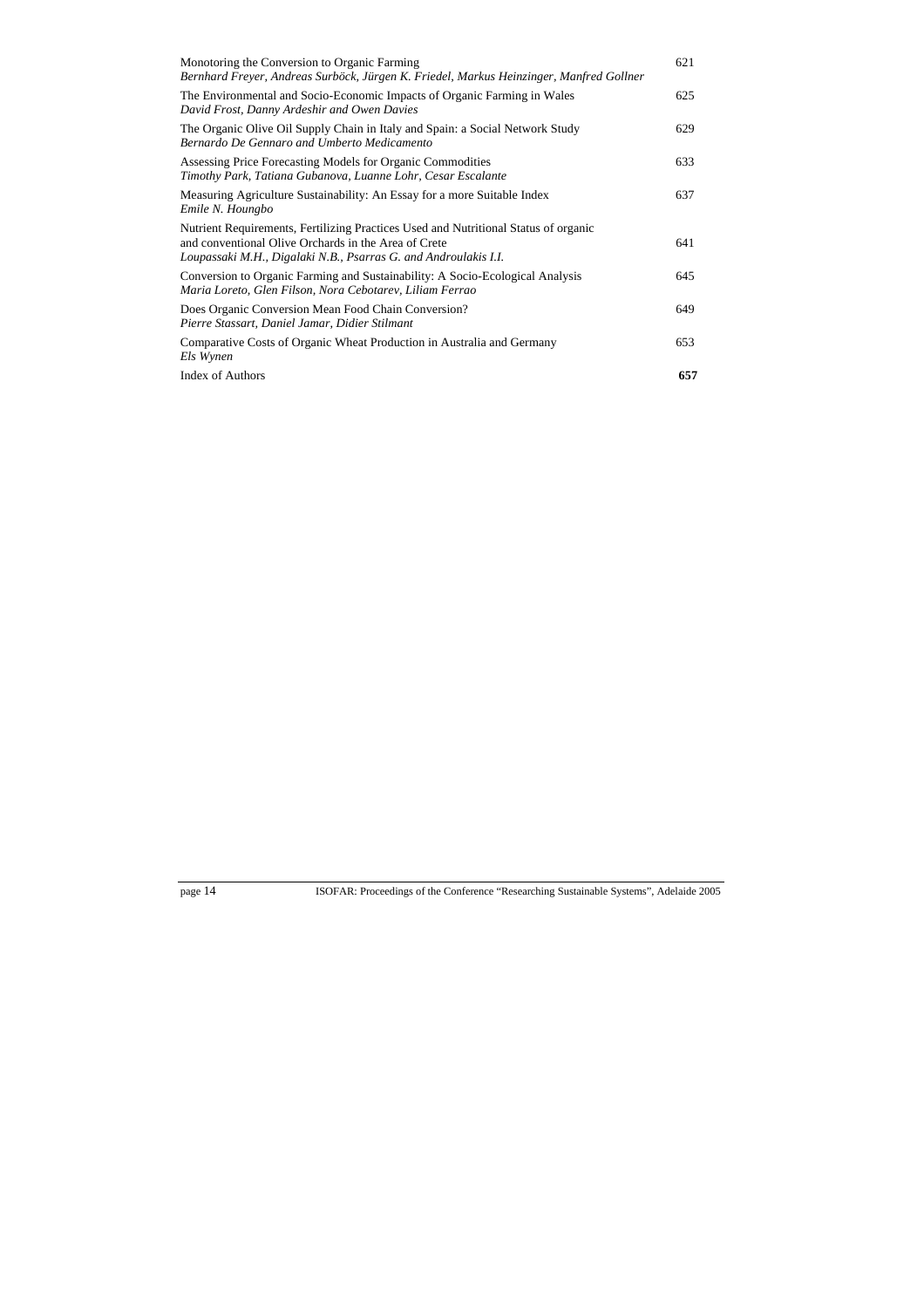| Monotoring the Conversion to Organic Farming<br>Bernhard Freyer, Andreas Surböck, Jürgen K. Friedel, Markus Heinzinger, Manfred Gollner                                                                        | 621 |
|----------------------------------------------------------------------------------------------------------------------------------------------------------------------------------------------------------------|-----|
| The Environmental and Socio-Economic Impacts of Organic Farming in Wales<br>David Frost, Danny Ardeshir and Owen Davies                                                                                        | 625 |
| The Organic Olive Oil Supply Chain in Italy and Spain: a Social Network Study<br>Bernardo De Gennaro and Umberto Medicamento                                                                                   | 629 |
| Assessing Price Forecasting Models for Organic Commodities<br>Timothy Park, Tatiana Gubanova, Luanne Lohr, Cesar Escalante                                                                                     | 633 |
| Measuring Agriculture Sustainability: An Essay for a more Suitable Index<br>Emile N. Houngbo                                                                                                                   | 637 |
| Nutrient Requirements, Fertilizing Practices Used and Nutritional Status of organic<br>and conventional Olive Orchards in the Area of Crete<br>Loupassaki M.H., Digalaki N.B., Psarras G. and Androulakis I.I. | 641 |
| Conversion to Organic Farming and Sustainability: A Socio-Ecological Analysis<br>Maria Loreto, Glen Filson, Nora Cebotarev, Liliam Ferrao                                                                      | 645 |
| Does Organic Conversion Mean Food Chain Conversion?<br>Pierre Stassart, Daniel Jamar, Didier Stilmant                                                                                                          | 649 |
| Comparative Costs of Organic Wheat Production in Australia and Germany<br>Els Wynen                                                                                                                            | 653 |
| <b>Index of Authors</b>                                                                                                                                                                                        | 657 |